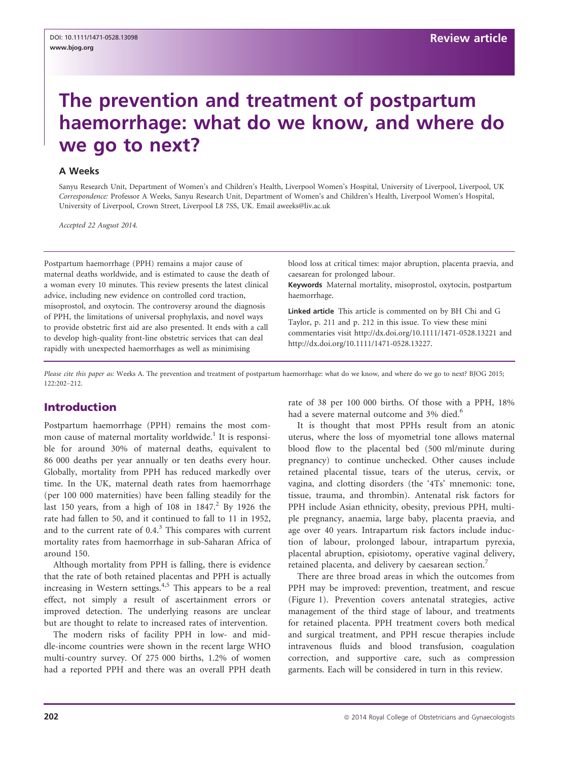# The prevention and treatment of postpartum haemorrhage: what do we know, and where do we go to next?

## A Weeks

Sanyu Research Unit, Department of Women's and Children's Health, Liverpool Women's Hospital, University of Liverpool, Liverpool, UK Correspondence: Professor A Weeks, Sanyu Research Unit, Department of Women's and Children's Health, Liverpool Women's Hospital, University of Liverpool, Crown Street, Liverpool L8 7SS, UK. Email aweeks@liv.ac.uk

Accepted 22 August 2014.

Postpartum haemorrhage (PPH) remains a major cause of maternal deaths worldwide, and is estimated to cause the death of a woman every 10 minutes. This review presents the latest clinical advice, including new evidence on controlled cord traction, misoprostol, and oxytocin. The controversy around the diagnosis of PPH, the limitations of universal prophylaxis, and novel ways to provide obstetric first aid are also presented. It ends with a call to develop high-quality front-line obstetric services that can deal rapidly with unexpected haemorrhages as well as minimising

blood loss at critical times: major abruption, placenta praevia, and caesarean for prolonged labour.

Keywords Maternal mortality, misoprostol, oxytocin, postpartum haemorrhage.

Linked article This article is commented on by BH Chi and G Taylor, p. 211 and p. 212 in this issue. To view these mini commentaries visit<http://dx.doi.org/10.1111/1471-0528.13221> and [http://dx.doi.org/10.1111/1471-0528.13227.](http://dx.doi.org/10.1111/1471-0528.13227)

Please cite this paper as: Weeks A. The prevention and treatment of postpartum haemorrhage: what do we know, and where do we go to next? BJOG 2015; 122:202–212.

# Introduction

Postpartum haemorrhage (PPH) remains the most common cause of maternal mortality worldwide.<sup>1</sup> It is responsible for around 30% of maternal deaths, equivalent to 86 000 deaths per year annually or ten deaths every hour. Globally, mortality from PPH has reduced markedly over time. In the UK, maternal death rates from haemorrhage (per 100 000 maternities) have been falling steadily for the last 150 years, from a high of  $108$  in  $1847<sup>2</sup>$  By 1926 the rate had fallen to 50, and it continued to fall to 11 in 1952, and to the current rate of  $0.4$ .<sup>3</sup> This compares with current mortality rates from haemorrhage in sub-Saharan Africa of around 150.

Although mortality from PPH is falling, there is evidence that the rate of both retained placentas and PPH is actually increasing in Western settings.<sup>4,5</sup> This appears to be a real effect, not simply a result of ascertainment errors or improved detection. The underlying reasons are unclear but are thought to relate to increased rates of intervention.

The modern risks of facility PPH in low- and middle-income countries were shown in the recent large WHO multi-country survey. Of 275 000 births, 1.2% of women had a reported PPH and there was an overall PPH death

rate of 38 per 100 000 births. Of those with a PPH, 18% had a severe maternal outcome and 3% died.<sup>6</sup>

It is thought that most PPHs result from an atonic uterus, where the loss of myometrial tone allows maternal blood flow to the placental bed (500 ml/minute during pregnancy) to continue unchecked. Other causes include retained placental tissue, tears of the uterus, cervix, or vagina, and clotting disorders (the '4Ts' mnemonic: tone, tissue, trauma, and thrombin). Antenatal risk factors for PPH include Asian ethnicity, obesity, previous PPH, multiple pregnancy, anaemia, large baby, placenta praevia, and age over 40 years. Intrapartum risk factors include induction of labour, prolonged labour, intrapartum pyrexia, placental abruption, episiotomy, operative vaginal delivery, retained placenta, and delivery by caesarean section.<sup>7</sup>

There are three broad areas in which the outcomes from PPH may be improved: prevention, treatment, and rescue (Figure 1). Prevention covers antenatal strategies, active management of the third stage of labour, and treatments for retained placenta. PPH treatment covers both medical and surgical treatment, and PPH rescue therapies include intravenous fluids and blood transfusion, coagulation correction, and supportive care, such as compression garments. Each will be considered in turn in this review.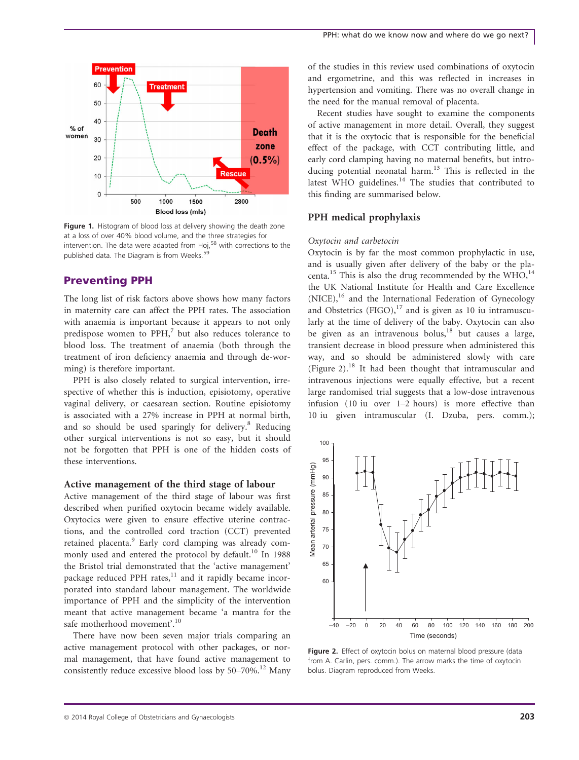

Figure 1. Histogram of blood loss at delivery showing the death zone at a loss of over 40% blood volume, and the three strategies for intervention. The data were adapted from Hoj,<sup>58</sup> with corrections to the published data. The Diagram is from Weeks.<sup>59</sup>

## Preventing PPH

The long list of risk factors above shows how many factors in maternity care can affect the PPH rates. The association with anaemia is important because it appears to not only predispose women to  $PPH<sub>1</sub><sup>7</sup>$  but also reduces tolerance to blood loss. The treatment of anaemia (both through the treatment of iron deficiency anaemia and through de-worming) is therefore important.

PPH is also closely related to surgical intervention, irrespective of whether this is induction, episiotomy, operative vaginal delivery, or caesarean section. Routine episiotomy is associated with a 27% increase in PPH at normal birth, and so should be used sparingly for delivery.<sup>8</sup> Reducing other surgical interventions is not so easy, but it should not be forgotten that PPH is one of the hidden costs of these interventions.

#### Active management of the third stage of labour

Active management of the third stage of labour was first described when purified oxytocin became widely available. Oxytocics were given to ensure effective uterine contractions, and the controlled cord traction (CCT) prevented retained placenta.<sup>9</sup> Early cord clamping was already commonly used and entered the protocol by default.<sup>10</sup> In 1988 the Bristol trial demonstrated that the 'active management' package reduced PPH rates, $11$  and it rapidly became incorporated into standard labour management. The worldwide importance of PPH and the simplicity of the intervention meant that active management became 'a mantra for the safe motherhood movement'.<sup>10</sup>

There have now been seven major trials comparing an active management protocol with other packages, or normal management, that have found active management to consistently reduce excessive blood loss by  $50-70\%$ .<sup>12</sup> Many of the studies in this review used combinations of oxytocin and ergometrine, and this was reflected in increases in hypertension and vomiting. There was no overall change in the need for the manual removal of placenta.

Recent studies have sought to examine the components of active management in more detail. Overall, they suggest that it is the oxytocic that is responsible for the beneficial effect of the package, with CCT contributing little, and early cord clamping having no maternal benefits, but introducing potential neonatal harm.<sup>13</sup> This is reflected in the latest WHO guidelines. $14$  The studies that contributed to this finding are summarised below.

#### PPH medical prophylaxis

#### Oxytocin and carbetocin

Oxytocin is by far the most common prophylactic in use, and is usually given after delivery of the baby or the placenta.<sup>15</sup> This is also the drug recommended by the WHO, $^{14}$ the UK National Institute for Health and Care Excellence (NICE),16 and the International Federation of Gynecology and Obstetrics  $(FIGO)$ ,<sup>17</sup> and is given as 10 iu intramuscularly at the time of delivery of the baby. Oxytocin can also be given as an intravenous bolus, $18$  but causes a large, transient decrease in blood pressure when administered this way, and so should be administered slowly with care (Figure 2).<sup>18</sup> It had been thought that intramuscular and intravenous injections were equally effective, but a recent large randomised trial suggests that a low-dose intravenous infusion (10 iu over 1–2 hours) is more effective than 10 iu given intramuscular (I. Dzuba, pers. comm.);



Figure 2. Effect of oxytocin bolus on maternal blood pressure (data from A. Carlin, pers. comm.). The arrow marks the time of oxytocin bolus. Diagram reproduced from Weeks.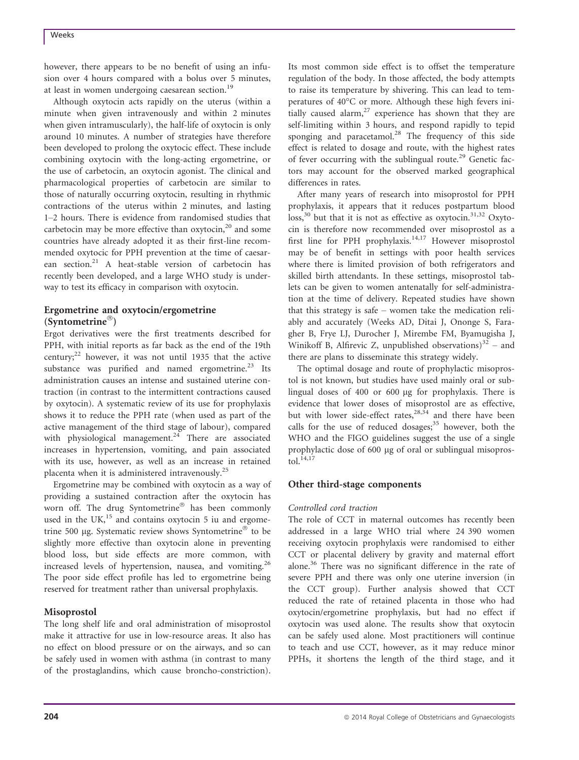however, there appears to be no benefit of using an infusion over 4 hours compared with a bolus over 5 minutes, at least in women undergoing caesarean section.<sup>19</sup>

Although oxytocin acts rapidly on the uterus (within a minute when given intravenously and within 2 minutes when given intramuscularly), the half-life of oxytocin is only around 10 minutes. A number of strategies have therefore been developed to prolong the oxytocic effect. These include combining oxytocin with the long-acting ergometrine, or the use of carbetocin, an oxytocin agonist. The clinical and pharmacological properties of carbetocin are similar to those of naturally occurring oxytocin, resulting in rhythmic contractions of the uterus within 2 minutes, and lasting 1–2 hours. There is evidence from randomised studies that carbetocin may be more effective than  $o$ xytocin, $20$  and some countries have already adopted it as their first-line recommended oxytocic for PPH prevention at the time of caesarean section.<sup>21</sup> A heat-stable version of carbetocin has recently been developed, and a large WHO study is underway to test its efficacy in comparison with oxytocin.

# Ergometrine and oxytocin/ergometrine  $(Syntometric^{\circledR})$

Ergot derivatives were the first treatments described for PPH, with initial reports as far back as the end of the 19th century;<sup>22</sup> however, it was not until 1935 that the active substance was purified and named ergometrine.<sup>23</sup> Its administration causes an intense and sustained uterine contraction (in contrast to the intermittent contractions caused by oxytocin). A systematic review of its use for prophylaxis shows it to reduce the PPH rate (when used as part of the active management of the third stage of labour), compared with physiological management.<sup>24</sup> There are associated increases in hypertension, vomiting, and pain associated with its use, however, as well as an increase in retained placenta when it is administered intravenously.<sup>25</sup>

Ergometrine may be combined with oxytocin as a way of providing a sustained contraction after the oxytocin has worn off. The drug Syntometrine® has been commonly used in the UK, $^{15}$  and contains oxytocin 5 iu and ergometrine 500 µg. Systematic review shows Syntometrine® to be slightly more effective than oxytocin alone in preventing blood loss, but side effects are more common, with increased levels of hypertension, nausea, and vomiting.<sup>26</sup> The poor side effect profile has led to ergometrine being reserved for treatment rather than universal prophylaxis.

## Misoprostol

The long shelf life and oral administration of misoprostol make it attractive for use in low-resource areas. It also has no effect on blood pressure or on the airways, and so can be safely used in women with asthma (in contrast to many of the prostaglandins, which cause broncho-constriction). Its most common side effect is to offset the temperature regulation of the body. In those affected, the body attempts to raise its temperature by shivering. This can lead to temperatures of 40°C or more. Although these high fevers initially caused alarm, $27$  experience has shown that they are self-limiting within 3 hours, and respond rapidly to tepid sponging and paracetamol. $^{28}$  The frequency of this side effect is related to dosage and route, with the highest rates of fever occurring with the sublingual route.<sup>29</sup> Genetic factors may account for the observed marked geographical differences in rates.

After many years of research into misoprostol for PPH prophylaxis, it appears that it reduces postpartum blood  $\cos$ <sup>30</sup> but that it is not as effective as oxytocin.<sup>31,32</sup> Oxytocin is therefore now recommended over misoprostol as a first line for PPH prophylaxis.<sup>14,17</sup> However misoprostol may be of benefit in settings with poor health services where there is limited provision of both refrigerators and skilled birth attendants. In these settings, misoprostol tablets can be given to women antenatally for self-administration at the time of delivery. Repeated studies have shown that this strategy is safe – women take the medication reliably and accurately (Weeks AD, Ditai J, Ononge S, Faragher B, Frye LJ, Durocher J, Mirembe FM, Byamugisha J, Winikoff B, Alfirevic Z, unpublished observations)<sup>32</sup> – and there are plans to disseminate this strategy widely.

The optimal dosage and route of prophylactic misoprostol is not known, but studies have used mainly oral or sublingual doses of 400 or 600 µg for prophylaxis. There is evidence that lower doses of misoprostol are as effective, but with lower side-effect rates,  $28,34$  and there have been calls for the use of reduced dosages; $35$  however, both the WHO and the FIGO guidelines suggest the use of a single prophylactic dose of 600 µg of oral or sublingual misoprostol. $14,17$ 

## Other third-stage components

## Controlled cord traction

The role of CCT in maternal outcomes has recently been addressed in a large WHO trial where 24 390 women receiving oxytocin prophylaxis were randomised to either CCT or placental delivery by gravity and maternal effort alone.36 There was no significant difference in the rate of severe PPH and there was only one uterine inversion (in the CCT group). Further analysis showed that CCT reduced the rate of retained placenta in those who had oxytocin/ergometrine prophylaxis, but had no effect if oxytocin was used alone. The results show that oxytocin can be safely used alone. Most practitioners will continue to teach and use CCT, however, as it may reduce minor PPHs, it shortens the length of the third stage, and it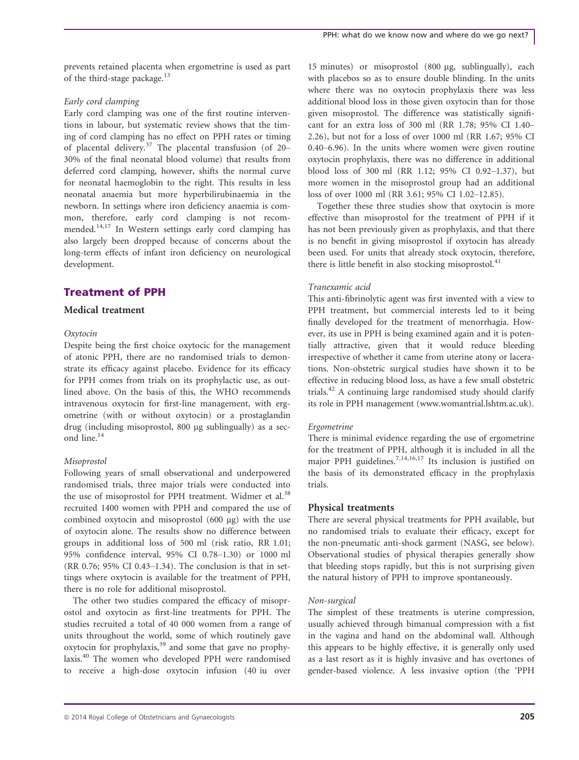prevents retained placenta when ergometrine is used as part of the third-stage package.<sup>13</sup>

## Early cord clamping

Early cord clamping was one of the first routine interventions in labour, but systematic review shows that the timing of cord clamping has no effect on PPH rates or timing of placental delivery.37 The placental transfusion (of 20– 30% of the final neonatal blood volume) that results from deferred cord clamping, however, shifts the normal curve for neonatal haemoglobin to the right. This results in less neonatal anaemia but more hyperbilirubinaemia in the newborn. In settings where iron deficiency anaemia is common, therefore, early cord clamping is not recommended.14,17 In Western settings early cord clamping has also largely been dropped because of concerns about the long-term effects of infant iron deficiency on neurological development.

# Treatment of PPH

## Medical treatment

## Oxytocin

Despite being the first choice oxytocic for the management of atonic PPH, there are no randomised trials to demonstrate its efficacy against placebo. Evidence for its efficacy for PPH comes from trials on its prophylactic use, as outlined above. On the basis of this, the WHO recommends intravenous oxytocin for first-line management, with ergometrine (with or without oxytocin) or a prostaglandin drug (including misoprostol, 800 µg sublingually) as a second line.14

## Misoprostol

Following years of small observational and underpowered randomised trials, three major trials were conducted into the use of misoprostol for PPH treatment. Widmer et al.<sup>38</sup> recruited 1400 women with PPH and compared the use of combined oxytocin and misoprostol  $(600 \mu g)$  with the use of oxytocin alone. The results show no difference between groups in additional loss of 500 ml (risk ratio, RR 1.01; 95% confidence interval, 95% CI 0.78–1.30) or 1000 ml (RR 0.76; 95% CI 0.43–1.34). The conclusion is that in settings where oxytocin is available for the treatment of PPH, there is no role for additional misoprostol.

The other two studies compared the efficacy of misoprostol and oxytocin as first-line treatments for PPH. The studies recruited a total of 40 000 women from a range of units throughout the world, some of which routinely gave oxytocin for prophylaxis, $39$  and some that gave no prophylaxis.<sup>40</sup> The women who developed PPH were randomised to receive a high-dose oxytocin infusion (40 iu over

15 minutes) or misoprostol (800 µg, sublingually), each with placebos so as to ensure double blinding. In the units where there was no oxytocin prophylaxis there was less additional blood loss in those given oxytocin than for those given misoprostol. The difference was statistically significant for an extra loss of 300 ml (RR 1.78; 95% CI 1.40– 2.26), but not for a loss of over 1000 ml (RR 1.67; 95% CI 0.40–6.96). In the units where women were given routine oxytocin prophylaxis, there was no difference in additional blood loss of 300 ml (RR 1.12; 95% CI 0.92–1.37), but more women in the misoprostol group had an additional loss of over 1000 ml (RR 3.61; 95% CI 1.02–12.85).

Together these three studies show that oxytocin is more effective than misoprostol for the treatment of PPH if it has not been previously given as prophylaxis, and that there is no benefit in giving misoprostol if oxytocin has already been used. For units that already stock oxytocin, therefore, there is little benefit in also stocking misoprostol. $41$ 

## Tranexamic acid

This anti-fibrinolytic agent was first invented with a view to PPH treatment, but commercial interests led to it being finally developed for the treatment of menorrhagia. However, its use in PPH is being examined again and it is potentially attractive, given that it would reduce bleeding irrespective of whether it came from uterine atony or lacerations. Non-obstetric surgical studies have shown it to be effective in reducing blood loss, as have a few small obstetric trials.42 A continuing large randomised study should clarify its role in PPH management [\(www.womantrial.lshtm.ac.uk](http://www.womantrial.lshtm.ac.uk)).

## Ergometrine

There is minimal evidence regarding the use of ergometrine for the treatment of PPH, although it is included in all the major PPH guidelines.<sup>7,14,16,17</sup> Its inclusion is justified on the basis of its demonstrated efficacy in the prophylaxis trials.

# Physical treatments

There are several physical treatments for PPH available, but no randomised trials to evaluate their efficacy, except for the non-pneumatic anti-shock garment (NASG, see below). Observational studies of physical therapies generally show that bleeding stops rapidly, but this is not surprising given the natural history of PPH to improve spontaneously.

## Non-surgical

The simplest of these treatments is uterine compression, usually achieved through bimanual compression with a fist in the vagina and hand on the abdominal wall. Although this appears to be highly effective, it is generally only used as a last resort as it is highly invasive and has overtones of gender-based violence. A less invasive option (the 'PPH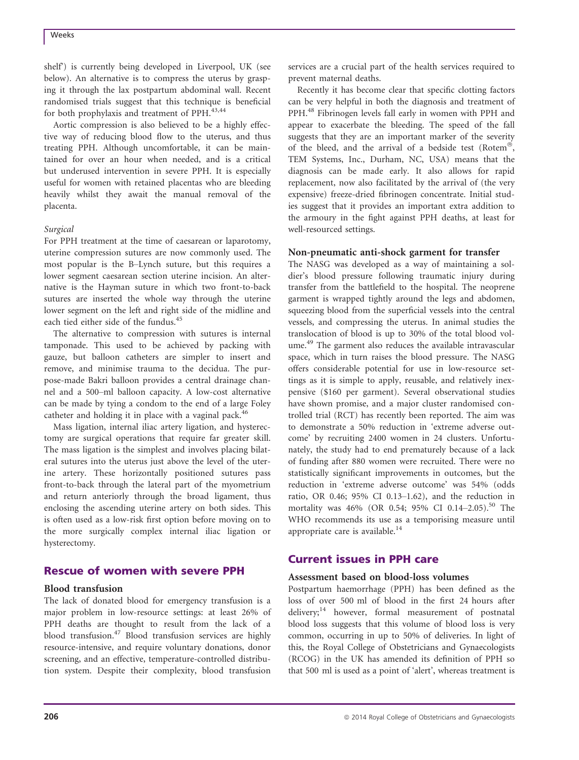#### Weeks

shelf') is currently being developed in Liverpool, UK (see below). An alternative is to compress the uterus by grasping it through the lax postpartum abdominal wall. Recent randomised trials suggest that this technique is beneficial for both prophylaxis and treatment of PPH.<sup>43,44</sup>

Aortic compression is also believed to be a highly effective way of reducing blood flow to the uterus, and thus treating PPH. Although uncomfortable, it can be maintained for over an hour when needed, and is a critical but underused intervention in severe PPH. It is especially useful for women with retained placentas who are bleeding heavily whilst they await the manual removal of the placenta.

## Surgical

For PPH treatment at the time of caesarean or laparotomy, uterine compression sutures are now commonly used. The most popular is the B–Lynch suture, but this requires a lower segment caesarean section uterine incision. An alternative is the Hayman suture in which two front-to-back sutures are inserted the whole way through the uterine lower segment on the left and right side of the midline and each tied either side of the fundus.<sup>45</sup>

The alternative to compression with sutures is internal tamponade. This used to be achieved by packing with gauze, but balloon catheters are simpler to insert and remove, and minimise trauma to the decidua. The purpose-made Bakri balloon provides a central drainage channel and a 500–ml balloon capacity. A low-cost alternative can be made by tying a condom to the end of a large Foley catheter and holding it in place with a vaginal pack. $46$ 

Mass ligation, internal iliac artery ligation, and hysterectomy are surgical operations that require far greater skill. The mass ligation is the simplest and involves placing bilateral sutures into the uterus just above the level of the uterine artery. These horizontally positioned sutures pass front-to-back through the lateral part of the myometrium and return anteriorly through the broad ligament, thus enclosing the ascending uterine artery on both sides. This is often used as a low-risk first option before moving on to the more surgically complex internal iliac ligation or hysterectomy.

# Rescue of women with severe PPH

## Blood transfusion

The lack of donated blood for emergency transfusion is a major problem in low-resource settings: at least 26% of PPH deaths are thought to result from the lack of a blood transfusion.<sup>47</sup> Blood transfusion services are highly resource-intensive, and require voluntary donations, donor screening, and an effective, temperature-controlled distribution system. Despite their complexity, blood transfusion

services are a crucial part of the health services required to prevent maternal deaths.

Recently it has become clear that specific clotting factors can be very helpful in both the diagnosis and treatment of PPH.48 Fibrinogen levels fall early in women with PPH and appear to exacerbate the bleeding. The speed of the fall suggests that they are an important marker of the severity of the bleed, and the arrival of a bedside test (Rotem®, TEM Systems, Inc., Durham, NC, USA) means that the diagnosis can be made early. It also allows for rapid replacement, now also facilitated by the arrival of (the very expensive) freeze-dried fibrinogen concentrate. Initial studies suggest that it provides an important extra addition to the armoury in the fight against PPH deaths, at least for well-resourced settings.

## Non-pneumatic anti-shock garment for transfer

The NASG was developed as a way of maintaining a soldier's blood pressure following traumatic injury during transfer from the battlefield to the hospital. The neoprene garment is wrapped tightly around the legs and abdomen, squeezing blood from the superficial vessels into the central vessels, and compressing the uterus. In animal studies the translocation of blood is up to 30% of the total blood volume.<sup>49</sup> The garment also reduces the available intravascular space, which in turn raises the blood pressure. The NASG offers considerable potential for use in low-resource settings as it is simple to apply, reusable, and relatively inexpensive (\$160 per garment). Several observational studies have shown promise, and a major cluster randomised controlled trial (RCT) has recently been reported. The aim was to demonstrate a 50% reduction in 'extreme adverse outcome' by recruiting 2400 women in 24 clusters. Unfortunately, the study had to end prematurely because of a lack of funding after 880 women were recruited. There were no statistically significant improvements in outcomes, but the reduction in 'extreme adverse outcome' was 54% (odds ratio, OR 0.46; 95% CI 0.13–1.62), and the reduction in mortality was 46% (OR 0.54; 95% CI 0.14–2.05).<sup>50</sup> The WHO recommends its use as a temporising measure until appropriate care is available.<sup>14</sup>

# Current issues in PPH care

## Assessment based on blood-loss volumes

Postpartum haemorrhage (PPH) has been defined as the loss of over 500 ml of blood in the first 24 hours after delivery; $14$  however, formal measurement of postnatal blood loss suggests that this volume of blood loss is very common, occurring in up to 50% of deliveries. In light of this, the Royal College of Obstetricians and Gynaecologists (RCOG) in the UK has amended its definition of PPH so that 500 ml is used as a point of 'alert', whereas treatment is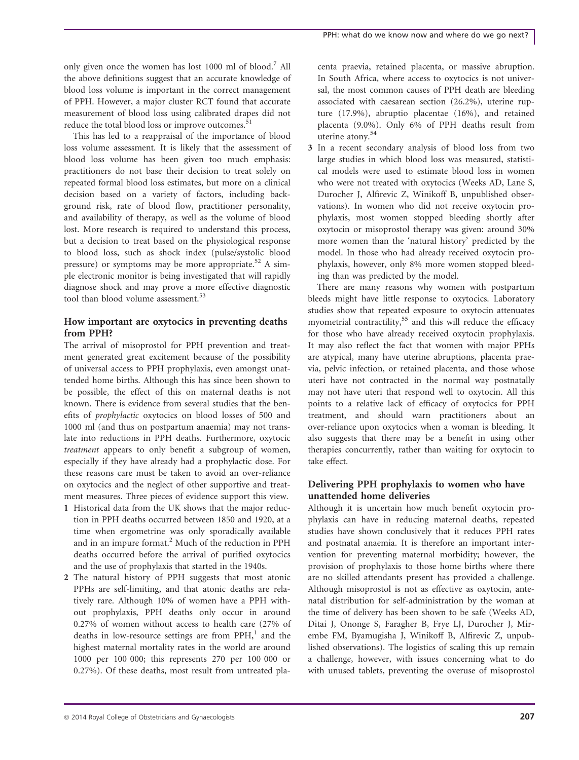only given once the women has lost 1000 ml of blood.7 All the above definitions suggest that an accurate knowledge of blood loss volume is important in the correct management of PPH. However, a major cluster RCT found that accurate measurement of blood loss using calibrated drapes did not reduce the total blood loss or improve outcomes.<sup>51</sup>

This has led to a reappraisal of the importance of blood loss volume assessment. It is likely that the assessment of blood loss volume has been given too much emphasis: practitioners do not base their decision to treat solely on repeated formal blood loss estimates, but more on a clinical decision based on a variety of factors, including background risk, rate of blood flow, practitioner personality, and availability of therapy, as well as the volume of blood lost. More research is required to understand this process, but a decision to treat based on the physiological response to blood loss, such as shock index (pulse/systolic blood pressure) or symptoms may be more appropriate.<sup>52</sup> A simple electronic monitor is being investigated that will rapidly diagnose shock and may prove a more effective diagnostic tool than blood volume assessment.<sup>53</sup>

# How important are oxytocics in preventing deaths from PPH?

The arrival of misoprostol for PPH prevention and treatment generated great excitement because of the possibility of universal access to PPH prophylaxis, even amongst unattended home births. Although this has since been shown to be possible, the effect of this on maternal deaths is not known. There is evidence from several studies that the benefits of prophylactic oxytocics on blood losses of 500 and 1000 ml (and thus on postpartum anaemia) may not translate into reductions in PPH deaths. Furthermore, oxytocic treatment appears to only benefit a subgroup of women, especially if they have already had a prophylactic dose. For these reasons care must be taken to avoid an over-reliance on oxytocics and the neglect of other supportive and treatment measures. Three pieces of evidence support this view.

- 1 Historical data from the UK shows that the major reduction in PPH deaths occurred between 1850 and 1920, at a time when ergometrine was only sporadically available and in an impure format.<sup>2</sup> Much of the reduction in PPH deaths occurred before the arrival of purified oxytocics and the use of prophylaxis that started in the 1940s.
- 2 The natural history of PPH suggests that most atonic PPHs are self-limiting, and that atonic deaths are relatively rare. Although 10% of women have a PPH without prophylaxis, PPH deaths only occur in around 0.27% of women without access to health care (27% of deaths in low-resource settings are from  $PPH<sup>1</sup>$  and the highest maternal mortality rates in the world are around 1000 per 100 000; this represents 270 per 100 000 or 0.27%). Of these deaths, most result from untreated pla-

centa praevia, retained placenta, or massive abruption. In South Africa, where access to oxytocics is not universal, the most common causes of PPH death are bleeding associated with caesarean section (26.2%), uterine rupture (17.9%), abruptio placentae (16%), and retained placenta (9.0%). Only 6% of PPH deaths result from uterine atony.<sup>54</sup>

3 In a recent secondary analysis of blood loss from two large studies in which blood loss was measured, statistical models were used to estimate blood loss in women who were not treated with oxytocics (Weeks AD, Lane S, Durocher J, Alfirevic Z, Winikoff B, unpublished observations). In women who did not receive oxytocin prophylaxis, most women stopped bleeding shortly after oxytocin or misoprostol therapy was given: around 30% more women than the 'natural history' predicted by the model. In those who had already received oxytocin prophylaxis, however, only 8% more women stopped bleeding than was predicted by the model.

There are many reasons why women with postpartum bleeds might have little response to oxytocics. Laboratory studies show that repeated exposure to oxytocin attenuates myometrial contractility, $55$  and this will reduce the efficacy for those who have already received oxytocin prophylaxis. It may also reflect the fact that women with major PPHs are atypical, many have uterine abruptions, placenta praevia, pelvic infection, or retained placenta, and those whose uteri have not contracted in the normal way postnatally may not have uteri that respond well to oxytocin. All this points to a relative lack of efficacy of oxytocics for PPH treatment, and should warn practitioners about an over-reliance upon oxytocics when a woman is bleeding. It also suggests that there may be a benefit in using other therapies concurrently, rather than waiting for oxytocin to take effect.

# Delivering PPH prophylaxis to women who have unattended home deliveries

Although it is uncertain how much benefit oxytocin prophylaxis can have in reducing maternal deaths, repeated studies have shown conclusively that it reduces PPH rates and postnatal anaemia. It is therefore an important intervention for preventing maternal morbidity; however, the provision of prophylaxis to those home births where there are no skilled attendants present has provided a challenge. Although misoprostol is not as effective as oxytocin, antenatal distribution for self-administration by the woman at the time of delivery has been shown to be safe (Weeks AD, Ditai J, Ononge S, Faragher B, Frye LJ, Durocher J, Mirembe FM, Byamugisha J, Winikoff B, Alfirevic Z, unpublished observations). The logistics of scaling this up remain a challenge, however, with issues concerning what to do with unused tablets, preventing the overuse of misoprostol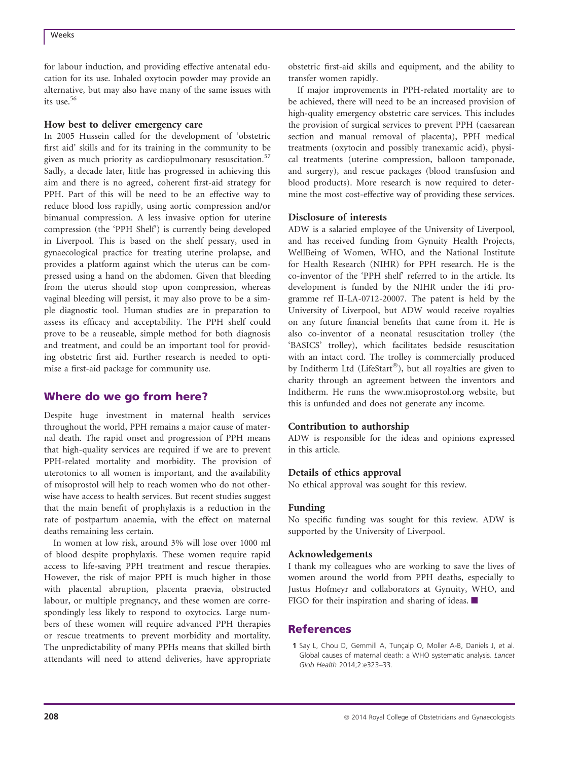for labour induction, and providing effective antenatal education for its use. Inhaled oxytocin powder may provide an alternative, but may also have many of the same issues with its use.<sup>56</sup>

## How best to deliver emergency care

In 2005 Hussein called for the development of 'obstetric first aid' skills and for its training in the community to be given as much priority as cardiopulmonary resuscitation.<sup>57</sup> Sadly, a decade later, little has progressed in achieving this aim and there is no agreed, coherent first-aid strategy for PPH. Part of this will be need to be an effective way to reduce blood loss rapidly, using aortic compression and/or bimanual compression. A less invasive option for uterine compression (the 'PPH Shelf') is currently being developed in Liverpool. This is based on the shelf pessary, used in gynaecological practice for treating uterine prolapse, and provides a platform against which the uterus can be compressed using a hand on the abdomen. Given that bleeding from the uterus should stop upon compression, whereas vaginal bleeding will persist, it may also prove to be a simple diagnostic tool. Human studies are in preparation to assess its efficacy and acceptability. The PPH shelf could prove to be a reuseable, simple method for both diagnosis and treatment, and could be an important tool for providing obstetric first aid. Further research is needed to optimise a first-aid package for community use.

# Where do we go from here?

Despite huge investment in maternal health services throughout the world, PPH remains a major cause of maternal death. The rapid onset and progression of PPH means that high-quality services are required if we are to prevent PPH-related mortality and morbidity. The provision of uterotonics to all women is important, and the availability of misoprostol will help to reach women who do not otherwise have access to health services. But recent studies suggest that the main benefit of prophylaxis is a reduction in the rate of postpartum anaemia, with the effect on maternal deaths remaining less certain.

In women at low risk, around 3% will lose over 1000 ml of blood despite prophylaxis. These women require rapid access to life-saving PPH treatment and rescue therapies. However, the risk of major PPH is much higher in those with placental abruption, placenta praevia, obstructed labour, or multiple pregnancy, and these women are correspondingly less likely to respond to oxytocics. Large numbers of these women will require advanced PPH therapies or rescue treatments to prevent morbidity and mortality. The unpredictability of many PPHs means that skilled birth attendants will need to attend deliveries, have appropriate obstetric first-aid skills and equipment, and the ability to transfer women rapidly.

If major improvements in PPH-related mortality are to be achieved, there will need to be an increased provision of high-quality emergency obstetric care services. This includes the provision of surgical services to prevent PPH (caesarean section and manual removal of placenta), PPH medical treatments (oxytocin and possibly tranexamic acid), physical treatments (uterine compression, balloon tamponade, and surgery), and rescue packages (blood transfusion and blood products). More research is now required to determine the most cost-effective way of providing these services.

#### Disclosure of interests

ADW is a salaried employee of the University of Liverpool, and has received funding from Gynuity Health Projects, WellBeing of Women, WHO, and the National Institute for Health Research (NIHR) for PPH research. He is the co-inventor of the 'PPH shelf' referred to in the article. Its development is funded by the NIHR under the i4i programme ref II-LA-0712-20007. The patent is held by the University of Liverpool, but ADW would receive royalties on any future financial benefits that came from it. He is also co-inventor of a neonatal resuscitation trolley (the 'BASICS' trolley), which facilitates bedside resuscitation with an intact cord. The trolley is commercially produced by Inditherm Ltd (LifeStart®), but all royalties are given to charity through an agreement between the inventors and Inditherm. He runs the [www.misoprostol.org](http://www.misoprostol.org) website, but this is unfunded and does not generate any income.

#### Contribution to authorship

ADW is responsible for the ideas and opinions expressed in this article.

#### Details of ethics approval

No ethical approval was sought for this review.

#### Funding

No specific funding was sought for this review. ADW is supported by the University of Liverpool.

#### Acknowledgements

I thank my colleagues who are working to save the lives of women around the world from PPH deaths, especially to Justus Hofmeyr and collaborators at Gynuity, WHO, and FIGO for their inspiration and sharing of ideas.  $\blacksquare$ 

# References

1 Say L, Chou D, Gemmill A, Tunçalp O, Moller A-B, Daniels J, et al. Global causes of maternal death: a WHO systematic analysis. Lancet Glob Health 2014;2:e323–33.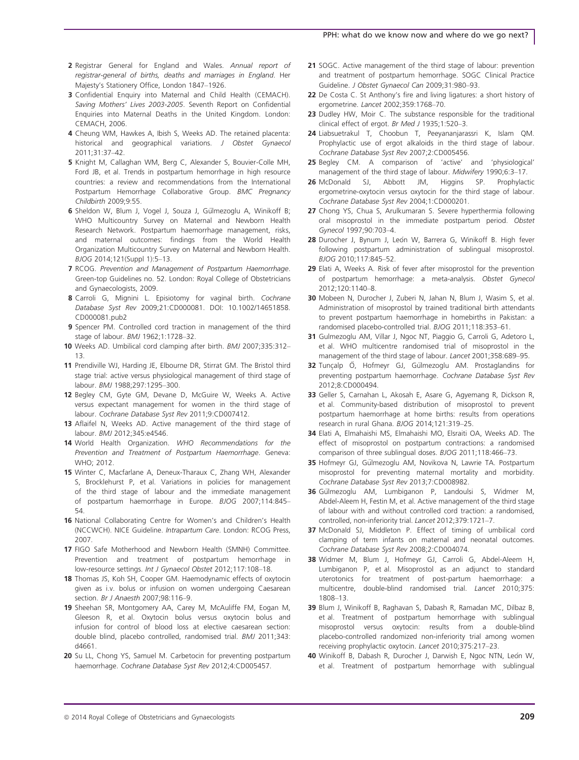- 2 Registrar General for England and Wales. Annual report of registrar-general of births, deaths and marriages in England. Her Majesty's Stationery Office, London 1847–1926.
- 3 Confidential Enquiry into Maternal and Child Health (CEMACH). Saving Mothers' Lives 2003-2005. Seventh Report on Confidential Enquiries into Maternal Deaths in the United Kingdom. London: CEMACH, 2006.
- 4 Cheung WM, Hawkes A, Ibish S, Weeks AD. The retained placenta: historical and geographical variations. J Obstet Gynaecol 2011;31:37–42.
- 5 Knight M, Callaghan WM, Berg C, Alexander S, Bouvier-Colle MH, Ford JB, et al. Trends in postpartum hemorrhage in high resource countries: a review and recommendations from the International Postpartum Hemorrhage Collaborative Group. BMC Pregnancy Childbirth 2009;9:55.
- 6 Sheldon W, Blum J, Vogel J, Souza J, Gülmezoglu A, Winikoff B; WHO Multicountry Survey on Maternal and Newborn Health Research Network. Postpartum haemorrhage management, risks, and maternal outcomes: findings from the World Health Organization Multicountry Survey on Maternal and Newborn Health. BJOG 2014;121(Suppl 1):5–13.
- 7 RCOG. Prevention and Management of Postpartum Haemorrhage. Green-top Guidelines no. 52. London: Royal College of Obstetricians and Gynaecologists, 2009.
- 8 Carroli G, Mignini L. Episiotomy for vaginal birth. Cochrane Database Syst Rev 2009;21:CD000081. DOI: 10.1002/14651858. CD000081.pub2
- 9 Spencer PM. Controlled cord traction in management of the third stage of labour. BMJ 1962;1:1728–32.
- 10 Weeks AD. Umbilical cord clamping after birth. BMJ 2007;335:312– 13.
- 11 Prendiville WJ, Harding JE, Elbourne DR, Stirrat GM. The Bristol third stage trial: active versus physiological management of third stage of labour. BMJ 1988;297:1295–300.
- 12 Begley CM, Gyte GM, Devane D, McGuire W, Weeks A. Active versus expectant management for women in the third stage of labour. Cochrane Database Syst Rev 2011;9:CD007412.
- 13 Aflaifel N, Weeks AD. Active management of the third stage of labour. BMJ 2012;345:e4546.
- 14 World Health Organization. WHO Recommendations for the Prevention and Treatment of Postpartum Haemorrhage. Geneva: WHO; 2012.
- 15 Winter C, Macfarlane A, Deneux-Tharaux C, Zhang WH, Alexander S, Brocklehurst P, et al. Variations in policies for management of the third stage of labour and the immediate management of postpartum haemorrhage in Europe. BJOG 2007;114:845– 54.
- 16 National Collaborating Centre for Women's and Children's Health (NCCWCH). NICE Guideline. Intrapartum Care. London: RCOG Press, 2007.
- 17 FIGO Safe Motherhood and Newborn Health (SMNH) Committee. Prevention and treatment of postpartum hemorrhage low-resource settings. Int J Gynaecol Obstet 2012;117:108-18.
- 18 Thomas JS, Koh SH, Cooper GM. Haemodynamic effects of oxytocin given as i.v. bolus or infusion on women undergoing Caesarean section. Br J Anaesth 2007;98:116–9.
- 19 Sheehan SR, Montgomery AA, Carey M, McAuliffe FM, Eogan M, Gleeson R, et al. Oxytocin bolus versus oxytocin bolus and infusion for control of blood loss at elective caesarean section: double blind, placebo controlled, randomised trial. BMJ 2011;343: d4661.
- 20 Su LL, Chong YS, Samuel M. Carbetocin for preventing postpartum haemorrhage. Cochrane Database Syst Rev 2012;4:CD005457.
- 21 SOGC. Active management of the third stage of labour: prevention and treatment of postpartum hemorrhage. SOGC Clinical Practice Guideline. J Obstet Gynaecol Can 2009;31:980–93.
- 22 De Costa C. St Anthony's fire and living ligatures: a short history of ergometrine. Lancet 2002;359:1768–70.
- 23 Dudley HW, Moir C. The substance responsible for the traditional clinical effect of ergot. Br Med J 1935;1:520–3.
- 24 Liabsuetrakul T, Choobun T, Peeyananjarassri K, Islam QM. Prophylactic use of ergot alkaloids in the third stage of labour. Cochrane Database Syst Rev 2007;2:CD005456.
- 25 Begley CM. A comparison of 'active' and 'physiological' management of the third stage of labour. Midwifery 1990;6:3-17.
- 26 McDonald SJ, Abbott JM, Higgins SP. Prophylactic ergometrine-oxytocin versus oxytocin for the third stage of labour. Cochrane Database Syst Rev 2004;1:CD000201.
- 27 Chong YS, Chua S, Arulkumaran S. Severe hyperthermia following oral misoprostol in the immediate postpartum period. Obstet Gynecol 1997;90:703–4.
- 28 Durocher J, Bynum J, León W, Barrera G, Winikoff B. High fever following postpartum administration of sublingual misoprostol. BJOG 2010;117:845–52.
- 29 Elati A, Weeks A. Risk of fever after misoprostol for the prevention of postpartum hemorrhage: a meta-analysis. Obstet Gynecol 2012;120:1140–8.
- 30 Mobeen N, Durocher J, Zuberi N, Jahan N, Blum J, Wasim S, et al. Administration of misoprostol by trained traditional birth attendants to prevent postpartum haemorrhage in homebirths in Pakistan: a randomised placebo-controlled trial. BJOG 2011;118:353–61.
- 31 Gulmezoglu AM, Villar J, Ngoc NT, Piaggio G, Carroli G, Adetoro L, et al. WHO multicentre randomised trial of misoprostol in the management of the third stage of labour. Lancet 2001;358:689–95.
- 32 Tunçalp Ö, Hofmeyr GJ, Gülmezoglu AM. Prostaglandins for preventing postpartum haemorrhage. Cochrane Database Syst Rev 2012;8:CD000494.
- 33 Geller S, Carnahan L, Akosah E, Asare G, Agyemang R, Dickson R, et al. Community-based distribution of misoprostol to prevent postpartum haemorrhage at home births: results from operations research in rural Ghana. BJOG 2014;121:319–25.
- 34 Elati A, Elmahaishi MS, Elmahaishi MO, Elsraiti OA, Weeks AD. The effect of misoprostol on postpartum contractions: a randomised comparison of three sublingual doses. BJOG 2011;118:466–73.
- 35 Hofmeyr GJ, Gülmezoglu AM, Novikova N, Lawrie TA. Postpartum misoprostol for preventing maternal mortality and morbidity. Cochrane Database Syst Rev 2013;7:CD008982.
- 36 Gülmezoglu AM, Lumbiganon P, Landoulsi S, Widmer M, Abdel-Aleem H, Festin M, et al. Active management of the third stage of labour with and without controlled cord traction: a randomised, controlled, non-inferiority trial. Lancet 2012;379:1721–7.
- 37 McDonald SJ, Middleton P. Effect of timing of umbilical cord clamping of term infants on maternal and neonatal outcomes. Cochrane Database Syst Rev 2008;2:CD004074.
- 38 Widmer M, Blum J, Hofmeyr GJ, Carroli G, Abdel-Aleem H, Lumbiganon P, et al. Misoprostol as an adjunct to standard uterotonics for treatment of post-partum haemorrhage: a multicentre, double-blind randomised trial. Lancet 2010;375: 1808–13.
- 39 Blum J, Winikoff B, Raghavan S, Dabash R, Ramadan MC, Dilbaz B, et al. Treatment of postpartum hemorrhage with sublingual misoprostol versus oxytocin: results from a double-blind placebo-controlled randomized non-inferiority trial among women receiving prophylactic oxytocin. Lancet 2010;375:217–23.
- 40 Winikoff B, Dabash R, Durocher J, Darwish E, Ngoc NTN, León W, et al. Treatment of postpartum hemorrhage with sublingual